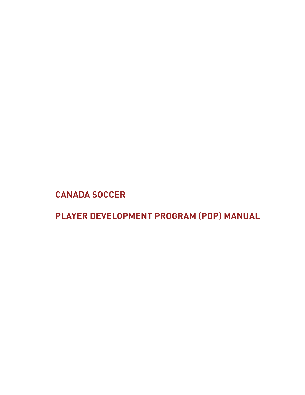**CANADA SOCCER**

**PLAYER DEVELOPMENT PROGRAM (PDP) MANUAL**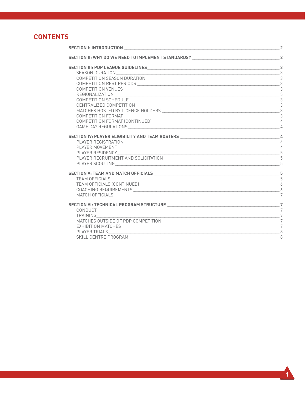#### **CONTENTS**

| <b>SECTION I: INTRODUCTION</b>                                                                                                                     |                |
|----------------------------------------------------------------------------------------------------------------------------------------------------|----------------|
| SECTION II: WHY DO WE NEED TO IMPLEMENT STANDARDS? ______________________________                                                                  | $\overline{a}$ |
|                                                                                                                                                    | $\overline{3}$ |
|                                                                                                                                                    | 3              |
|                                                                                                                                                    |                |
| COMPETITION REST PERIODS 3                                                                                                                         |                |
|                                                                                                                                                    |                |
|                                                                                                                                                    |                |
| COMPETITION SCHEDULE                                                                                                                               | $\overline{3}$ |
|                                                                                                                                                    |                |
|                                                                                                                                                    |                |
|                                                                                                                                                    |                |
| COMPETITION FORMAT<br>COMPETITION FORMAT (CONTINUED)                                                                                               |                |
| GAME DAY REGULATIONS NAME AND A SERIES AND RESIDENCE AND A SERIES OF STATES AND RESIDENCE AND A SERIES OF STATES OF STATES AND RESIDENCE ASSESSED. | 4              |
|                                                                                                                                                    |                |
| SECTION IV: PLAYER ELIGIBILITY AND TEAM ROSTERS MANUSCRIPTION AND A                                                                                |                |
|                                                                                                                                                    |                |
|                                                                                                                                                    |                |
|                                                                                                                                                    |                |
|                                                                                                                                                    | 5              |
|                                                                                                                                                    |                |
|                                                                                                                                                    |                |
| TEAM OFFICIALS                                                                                                                                     |                |
| TEAM OFFICIALS (CONTINUED) 6                                                                                                                       |                |
|                                                                                                                                                    |                |
|                                                                                                                                                    | 7              |
|                                                                                                                                                    |                |
|                                                                                                                                                    | $\overline{7}$ |
| CONDUCT 7                                                                                                                                          |                |
| TRAINING                                                                                                                                           | $\overline{7}$ |
|                                                                                                                                                    |                |
|                                                                                                                                                    |                |
|                                                                                                                                                    | 8              |
| SKILL CENTRE PROGRAM                                                                                                                               | 8              |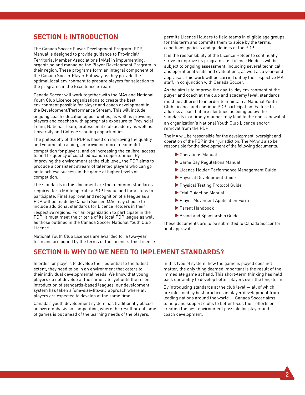#### **SECTION I: INTRODUCTION**

The Canada Soccer Player Development Program (PDP) Manual is designed to provide guidance to Provincial/ Territorial Member Associations (MAs) in implementing, organizing and managing the Player Development Program in their region. These programs form an integral component of the Canada Soccer Player Pathway as they provide the optimal local environment to prepare players for selection to the programs in the Excellence Stream.

Canada Soccer will work together with the MAs and National Youth Club Licence organizations to create the best environment possible for player and coach development in the Development/Performance Stream. This will include ongoing coach education opportunities, as well as providing players and coaches with appropriate exposure to Provincial Team, National Team, professional club academy as well as University and College scouting opportunities.

The philosophy of the PDP is based on improving the quality and volume of training, on providing more meaningful competition for players, and on increasing the calibre, access to and frequency of coach education opportunities. By improving the environment at the club level, the PDP aims to produce a consistent stream of talented players who can go on to achieve success in the game at higher levels of competition.

The standards in this document are the minimum standards required for a MA to operate a PDP league and for a clubs to participate. Final approval and recognition of a league as a PDP will be made by Canada Soccer. MAs may choose to include additional standards for Licence Holders in their respective regions. For an organization to participate in the PDP, it must meet the criteria of its local PDP league as well as those outlined in the Canada Soccer National Youth Club Licence.

National Youth Club Licences are awarded for a two-year term and are bound by the terms of the Licence. This Licence

permits Licence Holders to field teams in eligible age groups for this term and commits them to abide by the terms, conditions, policies and guidelines of the PDP.

It is the responsibility of the Licence Holder to continually strive to improve its programs, as Licence Holders will be subject to ongoing assessment, including several technical and operational visits and evaluations, as well as a year-end

appraisal. This work will be carried out by the respective MA staff, in conjunction with Canada Soccer.

As the aim is to improve the day-to-day environment of the player and coach at the club and academy level, standards must be adhered to in order to maintain a National Youth Club Licence and continue PDP participation. Failure to address areas that are identified as being below the standards in a timely manner may lead to the non-renewal of an organization's National Youth Club Licence and/or removal from the PDP.

The MA will be responsible for the development, oversight and operation of the PDP in their jurisdiction. The MA will also be responsible for the development of the following documents:

- ▶ Operations Manual
- Game Day Regulations Manual
- Licence Holder Performance Management Guide
- **Physical Development Guide**
- **Physical Testing Protocol Guide**
- Trial Guideline Manual
- Player Movement Application Form
- Parent Handbook
- Brand and Sponsorship Guide

These documents are to be submitted to Canada Soccer for final approval.

#### **SECTION II: WHY DO WE NEED TO IMPLEMENT STANDARDS?**

In order for players to develop their potential to the fullest extent, they need to be in an environment that caters to their individual developmental needs. We know that young players do not develop at the same rate, yet until the recent introduction of standards-based leagues, our development system has taken a 'one-size-fits-all' approach where all players are expected to develop at the same time.

Canada's youth development system has traditionally placed an overemphasis on competition, where the result or outcome of games is put ahead of the learning needs of the players.

In this type of system, how the game is played does not matter; the only thing deemed important is the result of the immediate game at hand. This short-term thinking has held back our ability to develop better players over the long-term.

By introducing standards at the club level — all of which are informed by best practices in player development from leading nations around the world — Canada Soccer aims to help and support clubs to better focus their efforts on creating the best environment possible for player and coach development.

**2**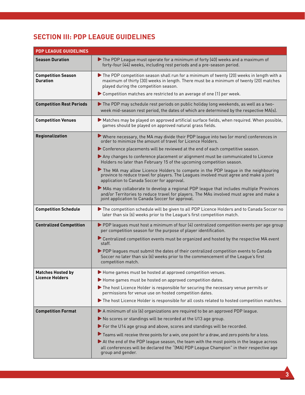## **SECTION III: PDP LEAGUE GUIDELINES**

| <b>PDP LEAGUE GUIDELINES</b>                 |                                                                                                                                                                                                                                      |
|----------------------------------------------|--------------------------------------------------------------------------------------------------------------------------------------------------------------------------------------------------------------------------------------|
| <b>Season Duration</b>                       | The PDP League must operate for a minimum of forty (40) weeks and a maximum of<br>forty-four (44) weeks, including rest periods and a pre-season period.                                                                             |
| <b>Competition Season</b><br><b>Duration</b> | The PDP competition season shall run for a minimum of twenty (20) weeks in length with a<br>maximum of thirty (30) weeks in length. There must be a minimum of twenty (20) matches<br>played during the competition season.          |
|                                              | Competition matches are restricted to an average of one (1) per week.                                                                                                                                                                |
| <b>Competition Rest Periods</b>              | The PDP may schedule rest periods on public holiday long weekends, as well as a two-<br>week mid-season rest period, the dates of which are determined by the respective MA(s).                                                      |
| <b>Competition Venues</b>                    | Matches may be played on approved artificial surface fields, when required. When possible,<br>games should be played on approved natural grass fields.                                                                               |
| Regionalization                              | ▶ Where necessary, the MA may divide their PDP league into two (or more) conferences in<br>order to minimize the amount of travel for Licence Holders.                                                                               |
|                                              | Conference placements will be reviewed at the end of each competitive season.                                                                                                                                                        |
|                                              | Any changes to conference placement or alignment must be communicated to Licence<br>Holders no later than February 15 of the upcoming competition season.                                                                            |
|                                              | The MA may allow Licence Holders to compete in the PDP league in the neighbouring<br>province to reduce travel for players. The Leagues involved must agree and make a joint<br>application to Canada Soccer for approval.           |
|                                              | MAs may collaborate to develop a regional PDP league that includes multiple Provinces<br>and/or Territories to reduce travel for players. The MAs involved must agree and make a<br>joint application to Canada Soccer for approval. |
| <b>Competition Schedule</b>                  | The competition schedule will be given to all PDP Licence Holders and to Canada Soccer no<br>later than six (6) weeks prior to the League's first competition match.                                                                 |
| <b>Centralized Competition</b>               | PDP leagues must host a minimum of four (4) centralized competition events per age group<br>per competition season for the purpose of player identification.                                                                         |
|                                              | Centralized competition events must be organized and hosted by the respective MA event<br>staff.                                                                                                                                     |
|                                              | PDP leagues must submit the dates of their centralized competition events to Canada<br>Soccer no later than six (6) weeks prior to the commencement of the League's first<br>competition match.                                      |
| <b>Matches Hosted by</b>                     | Home games must be hosted at approved competition venues.                                                                                                                                                                            |
| <b>Licence Holders</b>                       | Home games must be hosted on approved competition dates.                                                                                                                                                                             |
|                                              | The host Licence Holder is responsible for securing the necessary venue permits or<br>permissions for venue use on hosted competition dates.                                                                                         |
|                                              | The host Licence Holder is responsible for all costs related to hosted competition matches.                                                                                                                                          |
| <b>Competition Format</b>                    | A minimum of six (6) organizations are required to be an approved PDP league.                                                                                                                                                        |
|                                              | No scores or standings will be recorded at the U13 age group.                                                                                                                                                                        |
|                                              | For the U14 age group and above, scores and standings will be recorded.                                                                                                                                                              |
|                                              | Teams will receive three points for a win, one point for a draw, and zero points for a loss.                                                                                                                                         |
|                                              | At the end of the PDP league season, the team with the most points in the league across<br>all conferences will be declared the "(MA) PDP League Champion" in their respective age<br>group and gender.                              |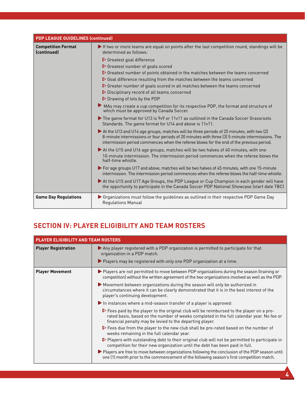| <b>PDP LEAGUE GUIDELINES (continued)</b> |                                                                                                                                                                                                                                                                                         |
|------------------------------------------|-----------------------------------------------------------------------------------------------------------------------------------------------------------------------------------------------------------------------------------------------------------------------------------------|
| <b>Competition Format</b><br>(continued) | If two or more teams are equal on points after the last competition round, standings will be<br>determined as follows:                                                                                                                                                                  |
|                                          | $\triangleright$ Greatest goal difference                                                                                                                                                                                                                                               |
|                                          | Secretest number of goals scored                                                                                                                                                                                                                                                        |
|                                          | Screatest number of points obtained in the matches between the teams concerned                                                                                                                                                                                                          |
|                                          | Soal difference resulting from the matches between the teams concerned                                                                                                                                                                                                                  |
|                                          | Secretar number of goals scored in all matches between the teams concerned                                                                                                                                                                                                              |
|                                          | Disciplinary record of all teams concerned                                                                                                                                                                                                                                              |
|                                          | $\triangleright$ Drawing of lots by the PDP                                                                                                                                                                                                                                             |
|                                          | MAs may create a cup competition for its respective PDP, the format and structure of<br>which must be approved by Canada Soccer.                                                                                                                                                        |
|                                          | The game format for U13 is 9v9 or 11v11 as outlined in the Canada Soccer Grassroots<br>Standards. The game format for U14 and above is 11v11.                                                                                                                                           |
|                                          | At the U13 and U14 age groups, matches will be three periods of 25 minutes, with two (2)<br>8-minute intermissions or four periods of 20 minutes with three (3) 5-minute intermissions. The<br>intermission period commences when the referee blows for the end of the previous period. |
|                                          | At the U15 and U16 age groups, matches will be two halves of 40 minutes, with one<br>10-minute intermission. The intermission period commences when the referee blows the<br>half-time whistle.                                                                                         |
|                                          | For age groups U17 and above, matches will be two halves of 45 minutes, with one 15-minute<br>intermission. The intermission period commences when the referee blows the half-time whistle.                                                                                             |
|                                          | At the U15 and U17 Age Groups, the PDP League or Cup Champion in each gender will have<br>the opportunity to participate in the Canada Soccer PDP National Showcase (start date TBC)                                                                                                    |
| <b>Game Day Regulations</b>              | ▶ Organizations must follow the quidelines as outlined in their respective PDP Game Day<br><b>Regulations Manual</b>                                                                                                                                                                    |

### **SECTION IV: PLAYER ELIGIBILITY AND TEAM ROSTERS**

| PLAYER ELIGIBILITY AND TEAM ROSTERS |                                                                                                                                                                                                                                                                  |
|-------------------------------------|------------------------------------------------------------------------------------------------------------------------------------------------------------------------------------------------------------------------------------------------------------------|
| <b>Player Registration</b>          | Any player registered with a PDP organization is permitted to participate for that<br>organization in a PDP match.                                                                                                                                               |
|                                     | $\blacktriangleright$ Players may be registered with only one PDP organization at a time.                                                                                                                                                                        |
| <b>Player Movement</b>              | ▶ Players are not permitted to move between PDP organizations during the season (training or<br>competition) without the written agreement of the two organizations involved as well as the PDP.                                                                 |
|                                     | Movement between organizations during the season will only be authorized in<br>circumstances where it can be clearly demonstrated that it is in the best interest of the<br>player's continuing development.                                                     |
|                                     | $\blacktriangleright$ In instances where a mid-season transfer of a player is approved:                                                                                                                                                                          |
|                                     | $\triangleright$ Fees paid by the player to the original club will be reimbursed to the player on a pro-<br>rated basis, based on the number of weeks completed in the full calendar year. No fee or<br>financial penalty may be levied to the departing player. |
|                                     | ▶ Fees due from the player to the new club shall be pro-rated based on the number of<br>weeks remaining in the full calendar year.                                                                                                                               |
|                                     | $\triangleright$ Players with outstanding debt to their original club will not be permitted to participate in<br>competition for their new organization until the debt has been paid in full.                                                                    |
|                                     | ▶ Players are free to move between organizations following the conclusion of the PDP season until<br>one (1) month prior to the commencement of the following season's first competition match.                                                                  |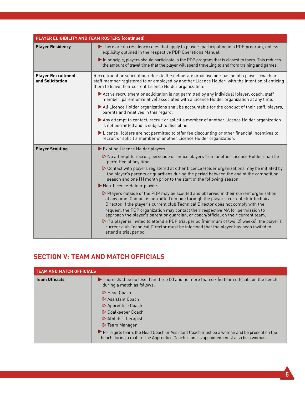| PLAYER ELIGIBILITY AND TEAM ROSTERS (continued) |                                                                                                                                                                                                                                                                                      |
|-------------------------------------------------|--------------------------------------------------------------------------------------------------------------------------------------------------------------------------------------------------------------------------------------------------------------------------------------|
| <b>Player Residency</b>                         | There are no residency rules that apply to players participating in a PDP program, unless<br>explicitly outlined in the respective PDP Operations Manual.                                                                                                                            |
|                                                 | In principle, players should participate in the PDP program that is closest to them. This reduces<br>the amount of travel time that the player will spend travelling to and from training and games.                                                                                 |
| <b>Player Recruitment</b><br>and Solicitation   | Recruitment or solicitation refers to the deliberate proactive persuasion of a player, coach or<br>staff member registered to or employed by another Licence Holder, with the intention of enticing<br>them to leave their current Licence Holder organization.                      |
|                                                 | Active recruitment or solicitation is not permitted by any individual (player, coach, staff<br>member, parent or relative) associated with a Licence Holder organization at any time.                                                                                                |
|                                                 | All Licence Holder organizations shall be accountable for the conduct of their staff, players,<br>parents and relatives in this regard.                                                                                                                                              |
|                                                 | Any attempt to contact, recruit or solicit a member of another Licence Holder organization<br>is not permitted and is subject to discipline.                                                                                                                                         |
|                                                 | Licence Holders are not permitted to offer fee discounting or other financial incentives to<br>recruit or solicit a member of another Licence Holder organization.                                                                                                                   |
| <b>Player Scouting</b>                          | Existing Licence Holder players:                                                                                                                                                                                                                                                     |
|                                                 | $\triangleright$ No attempt to recruit, persuade or entice players from another Licence Holder shall be<br>permitted at any time.                                                                                                                                                    |
|                                                 | ▶ Contact with players registered at other Licence Holder organizations may be initiated by<br>the player's parents or guardians during the period between the end of the competition<br>season and one (1) month prior to the start of the following season.                        |
|                                                 | Non-Licence Holder players:                                                                                                                                                                                                                                                          |
|                                                 | $\triangleright$ Players outside of the PDP may be scouted and observed in their current organization<br>at any time. Contact is permitted if made through the player's current club Technical<br>Director. If the player's current club Technical Director does not comply with the |
|                                                 | request, the PDP organization may contact their respective MA for permission to<br>approach the player's parent or quardian, or coach/official on their current team.                                                                                                                |
|                                                 | If a player is invited to attend a PDP trial period (minimum of two (2) weeks), the player's<br>current club Technical Director must be informed that the player has been invited to<br>attend a trial period.                                                                       |

# **SECTION V: TEAM AND MATCH OFFICIALS**

| <b>TEAM AND MATCH OFFICIALS</b> |                                                                                                                                                                                     |
|---------------------------------|-------------------------------------------------------------------------------------------------------------------------------------------------------------------------------------|
| <b>Team Officials</b>           | $\triangleright$ There shall be no less than three (3) and no more than six (6) team officials on the bench<br>during a match as follows:                                           |
|                                 | $\triangleright$ Head Coach                                                                                                                                                         |
|                                 | Assistant Coach                                                                                                                                                                     |
|                                 | $\triangleright$ Apprentice Coach                                                                                                                                                   |
|                                 | Goalkeeper Coach                                                                                                                                                                    |
|                                 | $\triangleright$ Athletic Therapist                                                                                                                                                 |
|                                 | D Team Manager                                                                                                                                                                      |
|                                 | For a girls team, the Head Coach or Assistant Coach must be a woman and be present on the<br>bench during a match. The Apprentice Coach, if one is appointed, must also be a woman. |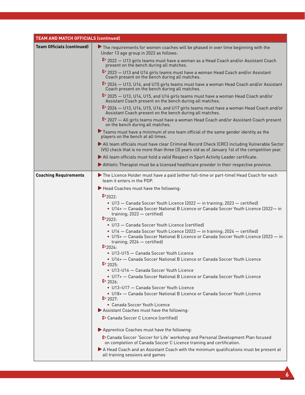| <b>TEAM AND MATCH OFFICIALS (continued)</b> |                                                                                                                                                                                                                |
|---------------------------------------------|----------------------------------------------------------------------------------------------------------------------------------------------------------------------------------------------------------------|
| <b>Team Officials (continued)</b>           | The requirements for women coaches will be phased in over time beginning with the<br>Under 13 age group in 2022 as follows:                                                                                    |
|                                             | ▶ 2022 – U13 girls teams must have a woman as a Head Coach and/or Assistant Coach<br>present on the bench during all matches.                                                                                  |
|                                             | $\triangleright$ 2023 – U13 and U14 girls teams must have a woman Head Coach and/or Assistant<br>Coach present on the bench during all matches.                                                                |
|                                             | $\triangleright$ 2024 $-$ U13, U14, and U15 girls teams must have a woman Head Coach and/or Assistant<br>Coach present on the bench during all matches.                                                        |
|                                             | $\triangleright$ 2025 $-$ U13, U14, U15, and U16 girls teams must have a woman Head Coach and/or<br>Assistant Coach present on the bench during all matches.                                                   |
|                                             | $\triangleright$ 2026 $-$ U13, U14, U15, U16, and U17 girls teams must have a woman Head Coach and/or<br>Assistant Coach present on the bench during all matches.                                              |
|                                             | 2027 - All girls teams must have a woman Head Coach and/or Assistant Coach present<br>on the bench during all matches.                                                                                         |
|                                             | Teams must have a minimum of one team official of the same gender identity as the<br>players on the bench at all times.                                                                                        |
|                                             | All team officials must have clear Criminal Record Check (CRC) including Vulnerable Sector<br>(VS) check that is no more than three (3) years old as of January 1st of the competition year.                   |
|                                             | All team officials must hold a valid Respect in Sport Activity Leader certificate.                                                                                                                             |
|                                             | Athletic Therapist must be a licensed healthcare provider in their respective province.                                                                                                                        |
| <b>Coaching Requirements</b>                | The Licence Holder must have a paid (either full-time or part-time) Head Coach for each<br>team it enters in the PDP.                                                                                          |
|                                             | Head Coaches must have the following:                                                                                                                                                                          |
|                                             | $\triangleright$ 2022:                                                                                                                                                                                         |
|                                             | • U13 - Canada Soccer Youth Licence (2022 - in training; 2023 - certified)<br>• U14+ - Canada Soccer National B Licence or Canada Soccer Youth Licence (2022-in<br>training; 2023 - certified)<br>$D_{2023}$   |
|                                             | • U13 - Canada Soccer Youth Licence (certified)                                                                                                                                                                |
|                                             | • U14 - Canada Soccer Youth Licence (2023 - in training; 2024 - certified)<br>• U15+ - Canada Soccer National B Licence or Canada Soccer Youth Licence (2023 - in<br>training; 2024 - certified)<br>$D_{2024}$ |
|                                             | • U13-U15 - Canada Soccer Youth Licence                                                                                                                                                                        |
|                                             | • U16+ - Canada Soccer National B Licence or Canada Soccer Youth Licence<br>$\triangleright$ 2025:                                                                                                             |
|                                             | • U13-U16 - Canada Soccer Youth Licence                                                                                                                                                                        |
|                                             | • U17+ - Canada Soccer National B Licence or Canada Soccer Youth Licence<br>$\triangleright$ 2026:                                                                                                             |
|                                             | • U13-U17 - Canada Soccer Youth Licence                                                                                                                                                                        |
|                                             | • U18+ - Canada Soccer National B Licence or Canada Soccer Youth Licence                                                                                                                                       |
|                                             | $\triangleright$ 2027:<br>• Canada Soccer Youth Licence                                                                                                                                                        |
|                                             | Assistant Coaches must have the following:                                                                                                                                                                     |
|                                             | Canada Soccer C Licence (certified)                                                                                                                                                                            |
|                                             | Apprentice Coaches must have the following:                                                                                                                                                                    |
|                                             | Canada Soccer 'Soccer for Life' workshop and Personal Development Plan focused<br>on completion of Canada Soccer C Licence training and certification.                                                         |
|                                             | A Head Coach and an Assistant Coach with the minimum qualifications must be present at<br>all training sessions and games                                                                                      |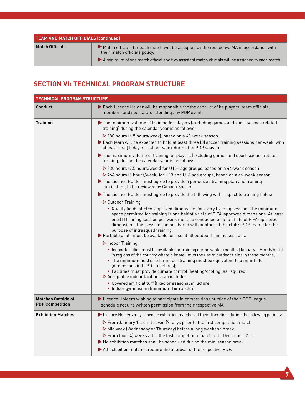| TEAM AND MATCH OFFICIALS (continued) |                                                                                                                          |
|--------------------------------------|--------------------------------------------------------------------------------------------------------------------------|
| Match Officials                      | Match officials for each match will be assigned by the respective MA in accordance with<br>their match officials policy. |
|                                      | A minimum of one match official and two assistant match officials will be assigned to each match.                        |

## **SECTION VI: TECHNICAL PROGRAM STRUCTURE**

| <b>TECHNICAL PROGRAM STRUCTURE</b>                  |                                                                                                                                                                                                                                                                                                                                                                                                                                                                                                                                                                                       |
|-----------------------------------------------------|---------------------------------------------------------------------------------------------------------------------------------------------------------------------------------------------------------------------------------------------------------------------------------------------------------------------------------------------------------------------------------------------------------------------------------------------------------------------------------------------------------------------------------------------------------------------------------------|
| <b>Conduct</b>                                      | Each Licence Holder will be responsible for the conduct of its players, team officials,<br>members and spectators attending any PDP event.                                                                                                                                                                                                                                                                                                                                                                                                                                            |
| <b>Training</b>                                     | The minimum volume of training for players (excluding games and sport science related<br>training) during the calendar year is as follows:                                                                                                                                                                                                                                                                                                                                                                                                                                            |
|                                                     | ▶ 180 hours (4.5 hours/week), based on a 40-week season.                                                                                                                                                                                                                                                                                                                                                                                                                                                                                                                              |
|                                                     | Each team will be expected to hold at least three (3) soccer training sessions per week, with<br>at least one (1) day of rest per week during the PDP season.                                                                                                                                                                                                                                                                                                                                                                                                                         |
|                                                     | The maximum volume of training for players (excluding games and sport science related<br>training) during the calendar year is as follows:                                                                                                                                                                                                                                                                                                                                                                                                                                            |
|                                                     | ▶ 330 hours (7.5 hours/week) for U15+ age groups, based on a 44-week season.<br>▶ 264 hours (6 hours/week) for U13 and U14 age groups, based on a 44-week season.                                                                                                                                                                                                                                                                                                                                                                                                                     |
|                                                     | The Licence Holder must agree to provide a periodized training plan and training<br>curriculum, to be reviewed by Canada Soccer.                                                                                                                                                                                                                                                                                                                                                                                                                                                      |
|                                                     | The Licence Holder must agree to provide the following with respect to training fields:                                                                                                                                                                                                                                                                                                                                                                                                                                                                                               |
|                                                     | D Outdoor Training                                                                                                                                                                                                                                                                                                                                                                                                                                                                                                                                                                    |
|                                                     | . Quality fields of FIFA-approved dimensions for every training session. The minimum<br>space permitted for training is one half of a field of FIFA-approved dimensions. At least<br>one (1) training session per week must be conducted on a full field of FIFA-approved<br>dimensions; this session can be shared with another of the club's PDP teams for the<br>purpose of intrasquad training.<br>▶ Portable goals must be available for use at all outdoor training sessions.                                                                                                   |
|                                                     | $\triangleright$ Indoor Training<br>• Indoor facilities must be available for training during winter months (January - March/April)<br>in regions of the country where climate limits the use of outdoor fields in these months;<br>• The minimum field size for indoor training must be equivalent to a mini-field<br>(dimensions in LTPD guidelines);<br>• Facilities must provide climate control (heating/cooling) as required;<br>Acceptable indoor facilities can include:<br>• Covered artificial turf (fixed or seasonal structure)<br>• Indoor gymnasium (minimum 16m x 32m) |
| <b>Matches Outside of</b><br><b>PDP Competition</b> | Licence Holders wishing to participate in competitions outside of their PDP league<br>schedule require written permission from their respective MA                                                                                                                                                                                                                                                                                                                                                                                                                                    |
| <b>Exhibition Matches</b>                           | > Licence Holders may schedule exhibition matches at their discretion, during the following periods:<br>▶ From January 1st until seven (7) days prior to the first competition match.<br>Midweek (Wednesday or Thursday) before a long weekend break.<br>From four (4) weeks after the last competition match until December 31st.<br>No exhibition matches shall be scheduled during the mid-season break.<br>All exhibition matches require the approval of the respective PDP.                                                                                                     |

**7**